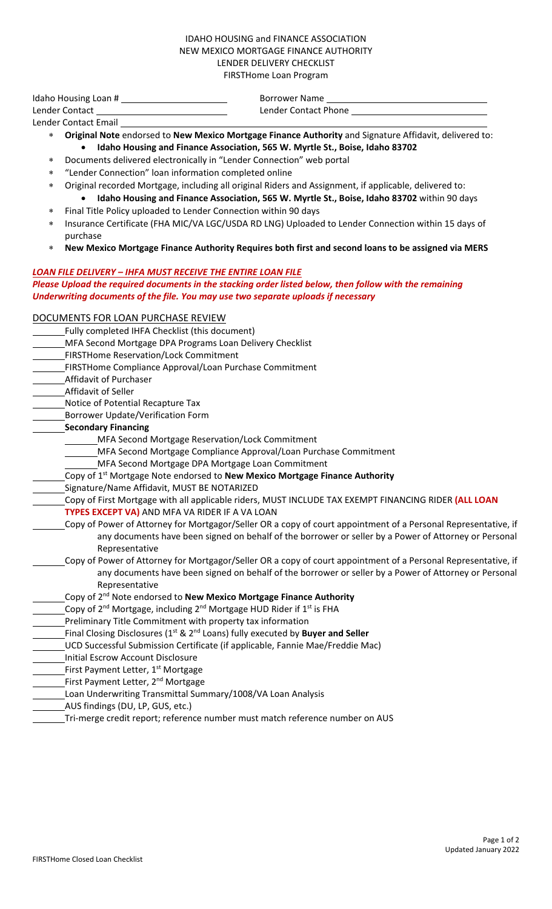## IDAHO HOUSING and FINANCE ASSOCIATION NEW MEXICO MORTGAGE FINANCE AUTHORITY LENDER DELIVERY CHECKLIST FIRSTHome Loan Program

Idaho Housing Loan # Borrower Name Lender Contact Lender Contact Phone

- Lender Contact Email ∗ **Original Note** endorsed to **New Mexico Mortgage Finance Authority** and Signature Affidavit, delivered to: • **Idaho Housing and Finance Association, 565 W. Myrtle St., Boise, Idaho 83702**
	- ∗ Documents delivered electronically in "Lender Connection" web portal
	- ∗ "Lender Connection" loan information completed online
		- ∗ Original recorded Mortgage, including all original Riders and Assignment, if applicable, delivered to:
		- **Idaho Housing and Finance Association, 565 W. Myrtle St., Boise, Idaho 83702** within 90 days Final Title Policy uploaded to Lender Connection within 90 days
	- Insurance Certificate (FHA MIC/VA LGC/USDA RD LNG) Uploaded to Lender Connection within 15 days of purchase
	- ∗ **New Mexico Mortgage Finance Authority Requires both first and second loans to be assigned via MERS**

## *LOAN FILE DELIVERY – IHFA MUST RECEIVE THE ENTIRE LOAN FILE Please Upload the required documents in the stacking order listed below, then follow with the remaining Underwriting documents of the file. You may use two separate uploads if necessary*

## DOCUMENTS FOR LOAN PURCHASE REVIEW

- Fully completed IHFA Checklist (this document)
- MFA Second Mortgage DPA Programs Loan Delivery Checklist
- FIRSTHome Reservation/Lock Commitment
- FIRSTHome Compliance Approval/Loan Purchase Commitment
- Affidavit of Purchaser
- Affidavit of Seller
- Notice of Potential Recapture Tax
- Borrower Update/Verification Form
- **Secondary Financing**
	- MFA Second Mortgage Reservation/Lock Commitment
		- MFA Second Mortgage Compliance Approval/Loan Purchase Commitment
	- MFA Second Mortgage DPA Mortgage Loan Commitment
- Copy of 1st Mortgage Note endorsed to **New Mexico Mortgage Finance Authority**
- Signature/Name Affidavit, MUST BE NOTARIZED
- Copy of First Mortgage with all applicable riders, MUST INCLUDE TAX EXEMPT FINANCING RIDER **(ALL LOAN TYPES EXCEPT VA)** AND MFA VA RIDER IF A VA LOAN
- Copy of Power of Attorney for Mortgagor/Seller OR a copy of court appointment of a Personal Representative, if any documents have been signed on behalf of the borrower or seller by a Power of Attorney or Personal Representative
	- Copy of Power of Attorney for Mortgagor/Seller OR a copy of court appointment of a Personal Representative, if any documents have been signed on behalf of the borrower or seller by a Power of Attorney or Personal Representative
- Copy of 2nd Note endorsed to **New Mexico Mortgage Finance Authority**
- Copy of  $2^{nd}$  Mortgage, including  $2^{nd}$  Mortgage HUD Rider if  $1^{st}$  is FHA
- **Freliminary Title Commitment with property tax information**
- Final Closing Disclosures (1<sup>st</sup> & 2<sup>nd</sup> Loans) fully executed by **Buyer and Seller**
- UCD Successful Submission Certificate (if applicable, Fannie Mae/Freddie Mac)
- Initial Escrow Account Disclosure
- First Payment Letter, 1<sup>st</sup> Mortgage
- First Payment Letter, 2<sup>nd</sup> Mortgage
- Loan Underwriting Transmittal Summary/1008/VA Loan Analysis
- AUS findings (DU, LP, GUS, etc.)
- Tri-merge credit report; reference number must match reference number on AUS